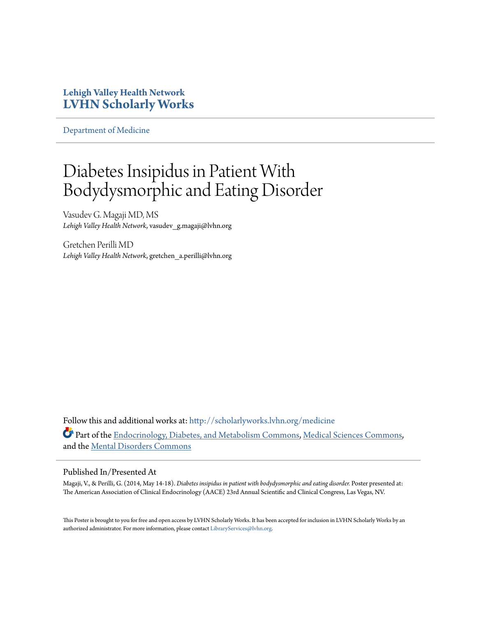### **Lehigh Valley Health Network [LVHN Scholarly Works](http://scholarlyworks.lvhn.org?utm_source=scholarlyworks.lvhn.org%2Fmedicine%2F455&utm_medium=PDF&utm_campaign=PDFCoverPages)**

[Department of Medicine](http://scholarlyworks.lvhn.org/medicine?utm_source=scholarlyworks.lvhn.org%2Fmedicine%2F455&utm_medium=PDF&utm_campaign=PDFCoverPages)

### Diabetes Insipidus in Patient With Bodydysmorphic and Eating Disorder

Vasudev G. Magaji MD, MS *Lehigh Valley Health Network*, vasudev\_g.magaji@lvhn.org

Gretchen Perilli MD *Lehigh Valley Health Network*, gretchen\_a.perilli@lvhn.org

Follow this and additional works at: [http://scholarlyworks.lvhn.org/medicine](http://scholarlyworks.lvhn.org/medicine?utm_source=scholarlyworks.lvhn.org%2Fmedicine%2F455&utm_medium=PDF&utm_campaign=PDFCoverPages) Part of the [Endocrinology, Diabetes, and Metabolism Commons](http://network.bepress.com/hgg/discipline/686?utm_source=scholarlyworks.lvhn.org%2Fmedicine%2F455&utm_medium=PDF&utm_campaign=PDFCoverPages), [Medical Sciences Commons](http://network.bepress.com/hgg/discipline/664?utm_source=scholarlyworks.lvhn.org%2Fmedicine%2F455&utm_medium=PDF&utm_campaign=PDFCoverPages), and the [Mental Disorders Commons](http://network.bepress.com/hgg/discipline/968?utm_source=scholarlyworks.lvhn.org%2Fmedicine%2F455&utm_medium=PDF&utm_campaign=PDFCoverPages)

### Published In/Presented At

Magaji, V., & Perilli, G. (2014, May 14-18). *Diabetes insipidus in patient with bodydysmorphic and eating disorder.* Poster presented at: The American Association of Clinical Endocrinology (AACE) 23rd Annual Scientific and Clinical Congress, Las Vegas, NV.

This Poster is brought to you for free and open access by LVHN Scholarly Works. It has been accepted for inclusion in LVHN Scholarly Works by an authorized administrator. For more information, please contact [LibraryServices@lvhn.org.](mailto:LibraryServices@lvhn.org)